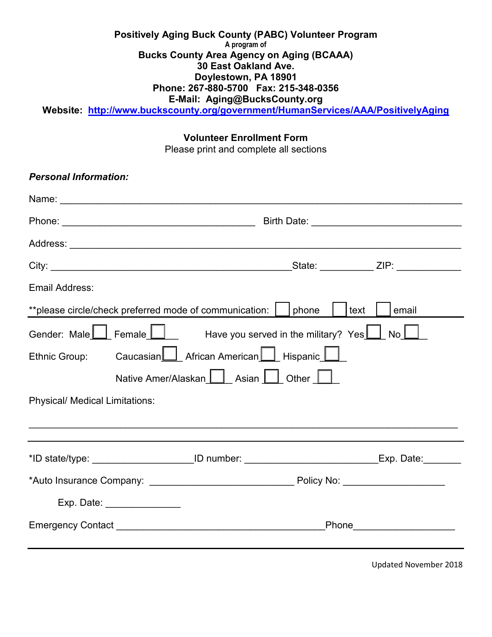## **Positively Aging Buck County (PABC) Volunteer Program A program of Bucks County Area Agency on Aging (BCAAA) 30 East Oakland Ave. Doylestown, PA 18901 Phone: 267-880-5700 Fax: 215-348-0356 E-Mail: Aging@BucksCounty.org**

**Website: <http://www.buckscounty.org/government/HumanServices/AAA/PositivelyAging>**

#### **Volunteer Enrollment Form**

Please print and complete all sections

| <b>Personal Information:</b>                                                                            |  |  |  |  |  |
|---------------------------------------------------------------------------------------------------------|--|--|--|--|--|
|                                                                                                         |  |  |  |  |  |
|                                                                                                         |  |  |  |  |  |
|                                                                                                         |  |  |  |  |  |
|                                                                                                         |  |  |  |  |  |
| <b>Email Address:</b>                                                                                   |  |  |  |  |  |
| **please circle/check preferred mode of communication:    <br>phone<br>text<br>email                    |  |  |  |  |  |
| Gender: Male $\Box$ Female $\Box$ Have you served in the military? Yes $\Box$<br>$\mathsf{No}\bigsqcup$ |  |  |  |  |  |
| Caucasian   African American   Hispanic  <br>Ethnic Group:                                              |  |  |  |  |  |
| Native Amer/Alaskan $\Box$ Asian $\Box$ Other $\Box$                                                    |  |  |  |  |  |
| <b>Physical/ Medical Limitations:</b>                                                                   |  |  |  |  |  |
|                                                                                                         |  |  |  |  |  |
| *ID state/type: ______________________ID number: __________________________Exp. Date:________           |  |  |  |  |  |
|                                                                                                         |  |  |  |  |  |
| Exp. Date: ________________                                                                             |  |  |  |  |  |
| Phone Phone                                                                                             |  |  |  |  |  |
|                                                                                                         |  |  |  |  |  |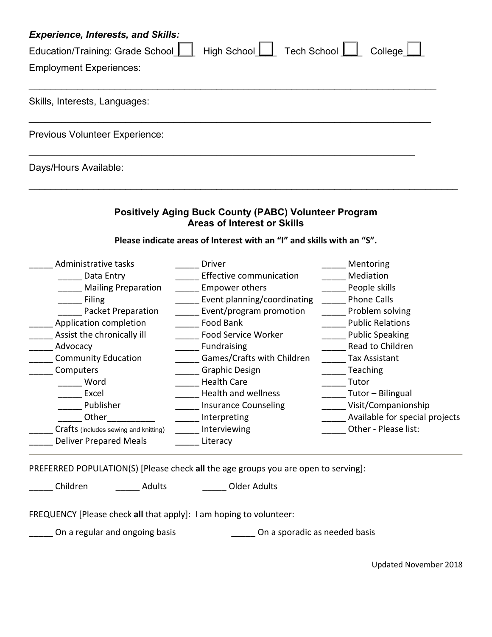| <b>Experience, Interests, and Skills:</b>                               |  |  |  |  |
|-------------------------------------------------------------------------|--|--|--|--|
| High School   Tech School   College<br>Education/Training: Grade School |  |  |  |  |
| <b>Employment Experiences:</b>                                          |  |  |  |  |
|                                                                         |  |  |  |  |
| Skills, Interests, Languages:                                           |  |  |  |  |
|                                                                         |  |  |  |  |
| <b>Previous Volunteer Experience:</b>                                   |  |  |  |  |
| Days/Hours Available:                                                   |  |  |  |  |

# **Positively Aging Buck County (PABC) Volunteer Program Areas of Interest or Skills**

\_\_\_\_\_\_\_\_\_\_\_\_\_\_\_\_\_\_\_\_\_\_\_\_\_\_\_\_\_\_\_\_\_\_\_\_\_\_\_\_\_\_\_\_\_\_\_\_\_\_\_\_\_\_\_\_\_\_\_\_\_\_\_\_\_\_\_\_\_\_\_\_\_\_\_\_\_\_\_\_

# **Please indicate areas of Interest with an "I" and skills with an "S".**

| Administrative tasks                  | <b>Driver</b>               | Mentoring                      |
|---------------------------------------|-----------------------------|--------------------------------|
| Data Entry                            | Effective communication     | Mediation                      |
| <b>Mailing Preparation</b>            | <b>Empower others</b>       | People skills                  |
| <b>Filing</b>                         | Event planning/coordinating | <b>Phone Calls</b>             |
| <b>Packet Preparation</b>             | Event/program promotion     | Problem solving                |
| Application completion                | Food Bank                   | <b>Public Relations</b>        |
| Assist the chronically ill            | <b>Food Service Worker</b>  | <b>Public Speaking</b>         |
| Advocacy                              | Fundraising                 | Read to Children               |
| <b>Community Education</b>            | Games/Crafts with Children  | Tax Assistant                  |
| Computers                             | <b>Graphic Design</b>       | Teaching                       |
| Word                                  | <b>Health Care</b>          | Tutor                          |
| Excel                                 | <b>Health and wellness</b>  | Tutor - Bilingual              |
| Publisher                             | <b>Insurance Counseling</b> | Visit/Companionship            |
| Other                                 | Interpreting                | Available for special projects |
| Crafts (includes sewing and knitting) | Interviewing                | Other - Please list:           |
| <b>Deliver Prepared Meals</b>         | Literacy                    |                                |
|                                       |                             |                                |

PREFERRED POPULATION(S) [Please check **all** the age groups you are open to serving]:

\_\_\_\_\_ Children \_\_\_\_\_ Adults \_\_\_\_\_ Older Adults

FREQUENCY [Please check **all** that apply]: I am hoping to volunteer:

\_\_\_\_\_ On a regular and ongoing basis \_\_\_\_\_\_\_\_\_\_\_\_\_\_\_\_\_ On a sporadic as needed basis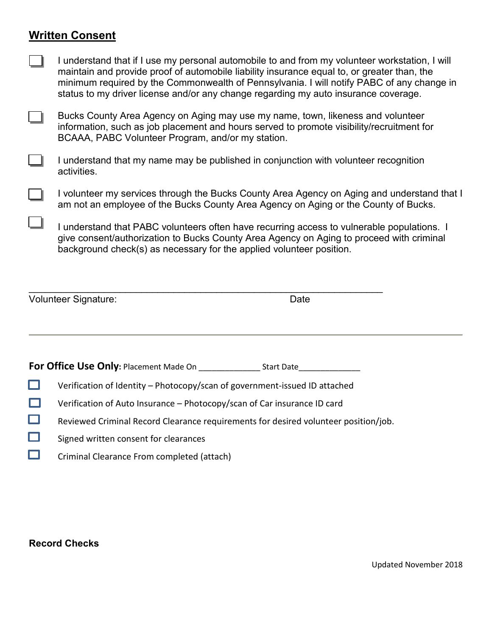# **Written Consent**

| I understand that if I use my personal automobile to and from my volunteer workstation, I will |
|------------------------------------------------------------------------------------------------|
| maintain and provide proof of automobile liability insurance equal to, or greater than, the    |
| minimum required by the Commonwealth of Pennsylvania. I will notify PABC of any change in      |
| status to my driver license and/or any change regarding my auto insurance coverage.            |

- Bucks County Area Agency on Aging may use my name, town, likeness and volunteer information, such as job placement and hours served to promote visibility/recruitment for BCAAA, PABC Volunteer Program, and/or my station.
- I understand that my name may be published in conjunction with volunteer recognition activities.
- I volunteer my services through the Bucks County Area Agency on Aging and understand that I am not an employee of the Bucks County Area Agency on Aging or the County of Bucks.
	- I understand that PABC volunteers often have recurring access to vulnerable populations. I give consent/authorization to Bucks County Area Agency on Aging to proceed with criminal background check(s) as necessary for the applied volunteer position.

| Volunteer Signature: | Date |
|----------------------|------|
|                      |      |

**For Office Use Only:** Placement Made On \_\_\_\_\_\_\_\_\_\_\_\_\_\_ Start Date\_\_\_\_\_\_\_\_\_\_\_\_\_\_

- □ Verification of Identity – Photocopy/scan of government-issued ID attached
- $\Box$ Verification of Auto Insurance – Photocopy/scan of Car insurance ID card
- $\Box$ Reviewed Criminal Record Clearance requirements for desired volunteer position/job.
- $\Box$ Signed written consent for clearances
- $\Box$ Criminal Clearance From completed (attach)

## **Record Checks**